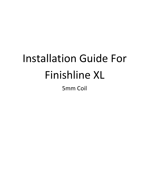# Installation Guide For Finishline XL

5mm Coil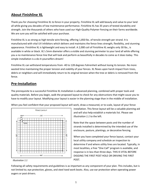# **About Finishline XL**

Thank you for choosing Finishline XL to fence in your property. Finishline XL will add beauty and value to your land all while giving you decades of low maintenance performance. Finishline XL has 35 years of tested durability and strength. Join the thousands of others who have used our High-Quality Polymer Fencing on their farms worldwide. We are sure you will be satisfied with your purchase.

Finishline XL is as strong as high tensile wire fencing, offering 1,850 lbs. of tensile strength per strand. It is manufactured with vital UV inhibitors which delivers and maintains the fence lines strength, flexibility, and stunning appearance. Finishline XL is lightweight and easy to install. A 2,000 coil of Finishline XL weighs only 30 lbs., is available in white or black. XL's 5mm diameter offers a visible and stunning perimeter to your land all while offering you a no maintenance fence line that will look and perform as beautifully in decades to come as it does today. This simple installation is a do-it-yourselfers dream!

Finishline XL can withstand temperatures from -40 to 128 degrees Fahrenheit without losing its tension. No more wasted time maintaining the proper tension and viability of your fences. XL flexes upon harsh impact from trees, debris or neighbors and will immediately return to its original tension when the tree or debris is removed from the fence.

# **Pre-Installation**

The prerequisite to a successful Finishline XL Installation is advanced planning, combined with proper tools and quality materials. Before you begin, walk the proposed layout to check for any obstructions that might cause you to have to modify your layout. Modifying your layout is easier in the planning stage than in the middle of installation.





*Illustration 1.1*

installation. This fence layout will be a valuable planning aid and will also help establish a materials list. Please see *Illustration 1.1* to the left.

Note that the space between posts and the number of strands installed is determined by the intended use of the enclosure, pasture, plantings, or decorative fencing.

When you have completed your fence layout, contact your local utility company and schedule an inspection to determine if and where utility lines are located. Typically, in most localities, a free "One Call" program is available, and response is in less than three days. THIS IS VITAL BEFORE DIGGING THE FIRST POST HOLE OR DRIVING THE FIRST POST.

Following all safety requirements and guidelines is as important as any component of your plan. This includes, but is not limited to; eye protection, gloves, and steel toed work boots. Also, use ear protection when operating power augers or post drivers.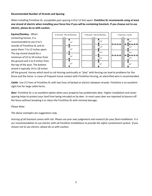# **Recommended Number of Strands and Spacing**

When installing Finishline XL, acceptable post spacing is 8 to 12 feet apart. **Finishline XL recommends using at least one strand of electric when installing your fence line if you will be containing livestock. If you choose not to use electric, please do so with caution.**

**Equine/Donkey**-. When containing horses, it is recommended to use 4 to 5 strands of Finishline XL and to space them 7 to 12 inches apart. The top strand should be a minimum of 52 to 54 inches from the ground and 2 to 4 inches from the top of the post. The bottom strand is typically 14 to 18 inches



off the ground. Horses which tend to rub fencing continually or "play" with fencing can lead to problems for the fence and the horse. In cases of frequent horse contact with Finishline Fencing, an electrified wire is recommended.

*Cattle*- Use 3-5 lines of Finishline XL with two lines of barbed or electric between strands. Finishline is an excellent sight line for large cattle farms.

*Deer*- Finishline XL is an excellent option when your property has problematic deer. Higher installation and closer spacing helps to protect your land from being intruded on by deer. In most cases deer are reported to bounce off the fence without breaking it or clears the Finishline XL with minimal damage.

# *Please Note:*

*The above examples are suggestions only.* 

*Fencing of all livestock comes with risk. Please use your own judgement and research for your final installation. It is our recommendation to use electric with all Finishline installations to provide the safest containment system. If you choose not to use electric, please do so with caution.*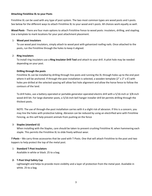## **Attaching Finishline XL to your Posts**

Finishline XL can be used with any type of post system. The two most common types are wood posts and t-posts. See below for the different ways to attach Finishline XL to your wood and t-posts. All choices work equally as well.

*Wood Posts* - There are four main options to attach Finishline Fence to wood posts: insulators, drilling, and stapling. Use a template to mark locations for your post attachment placement.

# 1- **Wood post insulators**

To use wood post insulators, simply attach to wood post with galvanized roofing nails. Once attached to the posts, run the Finishline through the holes to keep it aligned.

#### 2- **Ring insulators**

To install ring insulators use a **Ring Insulator Drill Tool** and attach to your drill. A pilot hole may be needed depending on your post.

# **Drilling through the posts**

Finishline XL can be installed by drilling through line posts and running the XL through holes up to the end post where it will be anchored. If through-the-post installation is selected, a wooden template (2" x 2" x 6') with holes pre-drilled at the selected spacing will allow fast hole alignment and allow the horse fence to follow the contours of the land.

To drill holes, use a battery-operated or portable generator-operated electric drill with a 5/16-inch or 3/8-inch wood drill bit. For large diameter posts, a 5/16-inch bell hanger installer drill bit permits drilling through the thickest posts.

NOTE: The use of through-the-post installation carries with it a slight risk of abrasion. If this is a concern, you may line the holes with protective tubing. Abrasion can be reduced by using an electrified wire with Finishline Fencing, as this will help prevent animals from pushing on the fence

# 3- **Staples (standard U)**

When installing with the Staples, care should be taken to prevent crushing Finishline XL when hammering each staple. This permits the Finishline XL to slide freely without wear.

*T-Posts* – We carry three accessories that be used with T-Posts. One that will attach Finishline to the post and two toppers to help protect the top of the metal post.

# 1- **Standard T-Post Insulators**

Available in white or black. 25 to a bag.

# **2- T-Post Vinyl Safety Cap**

Lightweight and helps to provide more visibility and a layer of protection from the metal post. Available in white. 25 to a bag.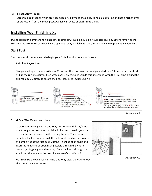# **3- T-Post Safety Topper**

Larger molded topper which provides added visibility and the ability to hold electric line and has a higher layer of protection from the metal post. Available in white or black. 10 to a bag.

# **Installing Your Finishline XL**

Due to its larger diameter and higher tensile strength, Finishline XL is only available on coils. Before removing the coil from the box, make sure you have a spinning jenny available for easy installation and to prevent any tangling.

# **Start Post**

The three most common ways to begin your Finishline XL runs are as follows:

# **1- Finishline Bayco Knot**

Give yourself approximately 4 feet of XL to start the knot. Wrap around your start post 3 times, wrap the short end up the run line 3 times then wrap back 3 times. Once you do this, insert and wrap the Finishline around the original loop 2-3 times to secure the line. Please see *Illustration 4.1*.



*Illustration 4.1*

# 2- **XL One-Way Vice** – 1-inch hole

To start your fencing with a One-Way Anchor Vice, drill a 3/8-inch hole through the post, then partially drill a 1-inch hole in your start post on the end where you will be using the vice. Then begin threading the line back through the hole while holding the pointed end of the vice at the first post. Cut the Finishline at an angle and insert the Finishline as straight as possible through the vice to prevent getting caught in the spring. Once the line is through the vice, insert the vice into the post. Please see *Illustration 4.2*.



*Illustration 4.2*

**NOTE:** Unlike the Original Finishline One-Way Vice, the XL One-Way Vice is not square at the end.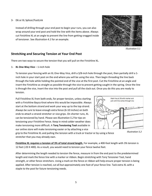Instead of drilling through your end post to begin your runs, you can also wrap around your end post and hold the line with the items above. Always cut Finishline XL at an angle to prevent the line from getting snagged inside of tensioner. See *Illustration 4.1* for an example.



*Illustration 5.1*

# **Stretching and Securing Tension at Your End Post**

There are two ways to secure the tension that you will pull on the Finishline XL.

1- **XL One-Way Vice** – 1-inch hole

To tension your fencing with an XL One-Way Vice, drill a 3/8-inch hole through the post, then partially drill a 1 inch hole in your start post on the end where you will be using the vice. Then begin threading the line back through the hole while holding the pointed end of the vice at the first post. Cut the Finishline at an angle and insert the Finishline as straight as possible through the vice to prevent getting caught in the spring. Once the line is through the vice, insert the vice into the post and pull all the slack out. Once you do this you are ready to tension.

Pull Finishline XL from both ends, for proper tension, unless starting with a Finishline Bayco Knot where this would be impossible. Always start at the bottom strand and work your way up to the top strand. Always be sure to leave enough extra fence (6-10 inches) on both ends to attach a strand stretcher or vice grips. On shorter runs, XL can be tensioned by hand. Please see *Illustration 5.2* for tips on tensioning your Finishline Fence. Keep in mind colder weather does make tensioning more difficult. A **Torq Tensioning Tool** available in our online store will make tensioning easier or by attaching a vice



grip to the Finishline XL and pulling the tension with a truck or tractor or by using a fence stretcher that you may already own.

**Finishline XL requires a tension of 3% of total strand length.** For example, a 400-foot length with 3% tension is 12 feet (.03 X 400). As a result, you would need to tension your fence twelve feet.

After determining the length needed to tension the fence, measure in from the end post to the predetermined length and mark the fence line with a marker or ribbon. Begin stretching with Torq Tensioner Tool, hand strength, or other fence stretchers. Using a mark on the fence or ribbon will help ensure proper tension is being applied. After tension is reached, cut all but approximately one foot of your fence line. Tack extra XL with a staple to the post for future tensioning needs.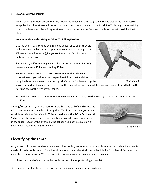# **4- D6 or XL Splicer/FastLink**

When reaching the last post of the run, thread the Finishline XL through the directed slot of the D6 or FastLink. Wrap the Finishline XL around the end post and then thread the end of the Finishline XL through the remaining hole in the tensioner. Use a Torq tensioner to tension the line the 3-4% and the tensioner will hold the line in place.

# **How to tension with a Gripple, D6, or XL Splicer/Fastlink**

Like the One-Way Vice tension directions above, once all the slack is pulled out, you will want the loop around your end post to equal the 3% needed to pull tension (give yourself an extra 10-12 inches to make up for the post).

For example, a 400-foot lengh with a 3% tension is 12 feet (.3 x 400), then add an extra 12 inches totalling 13 feet.

Now you are ready to use the **Torq Tensioner Tool**. As shown in Illustration 6.1, you will use the torq tool to tighten the Finishline and bring the tensioner closer to your end post. Once the 3% tension is pulled,

you are at perfect tension. Feel free to trim the excess line and use a white electrical tape if desired to keep the tail flush against the rest of your fence.

**NOTE:** If you are using a D6 tensioner, once tension is achieved, use the Hex key to move the D6 into the LOCK position.

Splicing/Repairing- If your job requires morethan one coil of Finishline XL, it will be necessary to splice the coils together. This is also the way you would repair breaks in the Finishline XL. This can be done with a **D6** or **FastLink (XL Splicer)**. Simply put one end of each line being spliced into an opposing hole in the splicer. Look for the arrows on the splicer if you have a question on how to use. Please see *Illustration 6.2*

# **Electrifying the Fence**

Only a livestock owner can determine what is best for his/her animals with regards to how much electric current is needed for safe containment. Finishline XL cannot carry an electrical charge itself, but a Finishline XL Fence can be electrified in several ways. We have listed below some common installation techniques.

6

- 1- Attach a strand of electric on the inside portion of your posts using an insulator.
- 2- Reduce your Finishline Fence Line by one and install an electric line in its place.





*Illustration 6.1*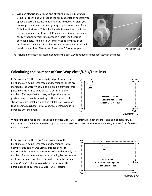3- Wrap an electric line around one of your Finishline XL strands. Using this technique will reduce the amount of labor necessary to upkeep electric. Because Finishline XL rarely loses tension, you can support your electric line by wrapping it around one of your Finishline XL strands. This will eliminate the need for you to retension your electric strands. A 17-gauge aluminum wire can be easily wrapped several times around a Finishline XL strand between posts. The electric wire will need to go through an insulator on each post. Finishline XL acts as an insulator and will not short your line. Please see *Illustration 7.1* for example.



*Illustration 7.1*

The inclusion of electric is recommended as the best way to reduce animal contact with the fence.

# **Calculating the Number of One-Way Vices/D6's/FastLinks**

In *Illustration 7.2*, there are only 4 end posts where the Finishline XL is being terminated and tensioned. These are marked by the word "Vice". In the example provided, this person was using 5 strands of XL. To determine the number of Vices/D6's/FastLinks, multiply the number of posts where you are terminating by the number of XL strands you are installing, and this will tell you how many tensioners to purchase. In this case, this person needs to purchase 20 Tensioners.



When runs are over 150ft. it is advisable to use Vices/D6's/FastLinks at both the start and end of each run. In *Illustration 7.2* the knots would be replaced by Vices/D6's/FastLinks. In the example above, 40 Vices/D6's/FastLinks would be needed.

In *Illustration 7.3*, there are 5 end posts where the Finishline XL is being terminated and tensioned. In this example, this person was using 3 strands of XL. To determine the number of tensioners required, multiply the number of posts where you are terminating by the number of strands you are installing. This will tell you the number of Vices/D6's/FastLinks to purchase. In this case, this person needs to purchase 15 Vices/D6's/FastLinks.

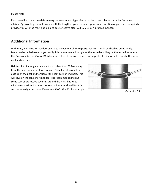#### Please Note:

If you need help or advice determining the amount and type of accessories to use, please contact a Finishline advisor. By providing a simple sketch with the length of your runs and approximate location of gates we can quickly provide you with the most optimal and cost-effective plan. 724-625-6100 / info@agliner.com

# **Additional Information**

With time, Finishline XL may loosen due to movement of fence posts. Fencing should be checked occasionally. If fence can be pulled towards you easily, it is recommended to tighten the fence by pulling on the fence line where the One-Way Anchor Vice or D6 is located. If loss of tension is due to loose posts, it is important to locate the loose post and correct.

Helpful hint: If your gate or a start post is less than 50 feet away from the next corner, feel free to wrap Finishline XL around the outside of the post and tension at the next gate or end post. This will save on the tensioners needed. It is recommended to put some sort of protective covering around the Finishline XL to eliminate abrasion. Common household items work well for this such as an old garden hose. Please see *Illustration 8.1* for example.



*Illustration 8.1*